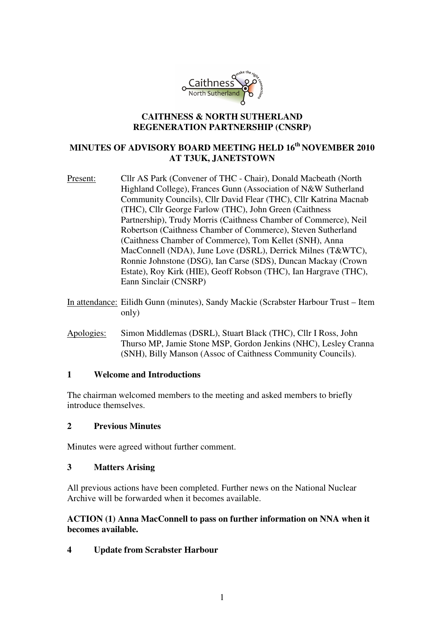

#### **CAITHNESS & NORTH SUTHERLAND REGENERATION PARTNERSHIP (CNSRP)**

# **MINUTES OF ADVISORY BOARD MEETING HELD 16th NOVEMBER 2010 AT T3UK, JANETSTOWN**

- Present: Cllr AS Park (Convener of THC Chair), Donald Macbeath (North Highland College), Frances Gunn (Association of N&W Sutherland Community Councils), Cllr David Flear (THC), Cllr Katrina Macnab (THC), Cllr George Farlow (THC), John Green (Caithness Partnership), Trudy Morris (Caithness Chamber of Commerce), Neil Robertson (Caithness Chamber of Commerce), Steven Sutherland (Caithness Chamber of Commerce), Tom Kellet (SNH), Anna MacConnell (NDA), June Love (DSRL), Derrick Milnes (T&WTC), Ronnie Johnstone (DSG), Ian Carse (SDS), Duncan Mackay (Crown Estate), Roy Kirk (HIE), Geoff Robson (THC), Ian Hargrave (THC), Eann Sinclair (CNSRP)
- In attendance: Eilidh Gunn (minutes), Sandy Mackie (Scrabster Harbour Trust Item only)
- Apologies: Simon Middlemas (DSRL), Stuart Black (THC), Cllr I Ross, John Thurso MP, Jamie Stone MSP, Gordon Jenkins (NHC), Lesley Cranna (SNH), Billy Manson (Assoc of Caithness Community Councils).

#### **1 Welcome and Introductions**

The chairman welcomed members to the meeting and asked members to briefly introduce themselves.

### **2 Previous Minutes**

Minutes were agreed without further comment.

#### **3 Matters Arising**

All previous actions have been completed. Further news on the National Nuclear Archive will be forwarded when it becomes available.

#### **ACTION (1) Anna MacConnell to pass on further information on NNA when it becomes available.**

**4 Update from Scrabster Harbour**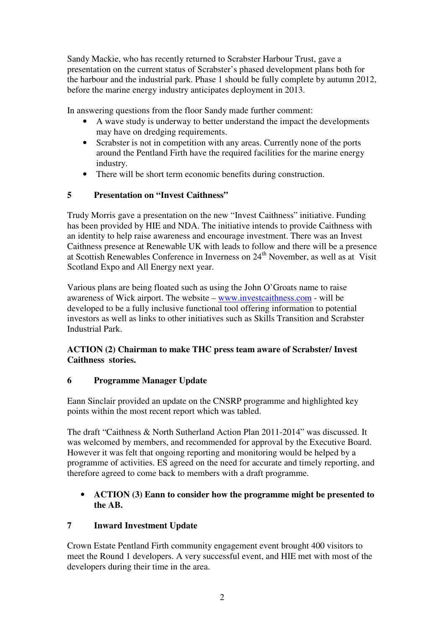Sandy Mackie, who has recently returned to Scrabster Harbour Trust, gave a presentation on the current status of Scrabster's phased development plans both for the harbour and the industrial park. Phase 1 should be fully complete by autumn 2012, before the marine energy industry anticipates deployment in 2013.

In answering questions from the floor Sandy made further comment:

- A wave study is underway to better understand the impact the developments may have on dredging requirements.
- Scrabster is not in competition with any areas. Currently none of the ports around the Pentland Firth have the required facilities for the marine energy industry.
- There will be short term economic benefits during construction.

### **5 Presentation on "Invest Caithness"**

Trudy Morris gave a presentation on the new "Invest Caithness" initiative. Funding has been provided by HIE and NDA. The initiative intends to provide Caithness with an identity to help raise awareness and encourage investment. There was an Invest Caithness presence at Renewable UK with leads to follow and there will be a presence at Scottish Renewables Conference in Inverness on 24<sup>th</sup> November, as well as at Visit Scotland Expo and All Energy next year.

Various plans are being floated such as using the John O'Groats name to raise awareness of Wick airport. The website – www.investcaithness.com - will be developed to be a fully inclusive functional tool offering information to potential investors as well as links to other initiatives such as Skills Transition and Scrabster Industrial Park.

### **ACTION (2) Chairman to make THC press team aware of Scrabster/ Invest Caithness stories.**

### **6 Programme Manager Update**

Eann Sinclair provided an update on the CNSRP programme and highlighted key points within the most recent report which was tabled.

The draft "Caithness & North Sutherland Action Plan 2011-2014" was discussed. It was welcomed by members, and recommended for approval by the Executive Board. However it was felt that ongoing reporting and monitoring would be helped by a programme of activities. ES agreed on the need for accurate and timely reporting, and therefore agreed to come back to members with a draft programme.

# • **ACTION (3) Eann to consider how the programme might be presented to the AB.**

# **7 Inward Investment Update**

Crown Estate Pentland Firth community engagement event brought 400 visitors to meet the Round 1 developers. A very successful event, and HIE met with most of the developers during their time in the area.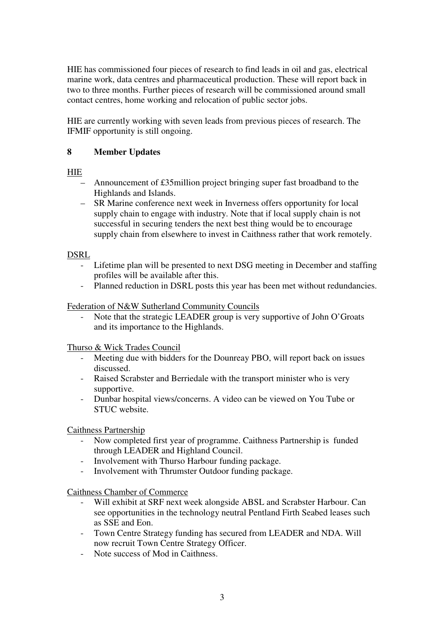HIE has commissioned four pieces of research to find leads in oil and gas, electrical marine work, data centres and pharmaceutical production. These will report back in two to three months. Further pieces of research will be commissioned around small contact centres, home working and relocation of public sector jobs.

HIE are currently working with seven leads from previous pieces of research. The IFMIF opportunity is still ongoing.

### **8 Member Updates**

HIE

- Announcement of £35million project bringing super fast broadband to the Highlands and Islands.
- SR Marine conference next week in Inverness offers opportunity for local supply chain to engage with industry. Note that if local supply chain is not successful in securing tenders the next best thing would be to encourage supply chain from elsewhere to invest in Caithness rather that work remotely.

### DSRL

- Lifetime plan will be presented to next DSG meeting in December and staffing profiles will be available after this.
- Planned reduction in DSRL posts this year has been met without redundancies.

### Federation of N&W Sutherland Community Councils

Note that the strategic LEADER group is very supportive of John O'Groats and its importance to the Highlands.

Thurso & Wick Trades Council

- Meeting due with bidders for the Dounreay PBO, will report back on issues discussed.
- Raised Scrabster and Berriedale with the transport minister who is very supportive.
- Dunbar hospital views/concerns. A video can be viewed on You Tube or STUC website.

Caithness Partnership

- Now completed first year of programme. Caithness Partnership is funded through LEADER and Highland Council.
- Involvement with Thurso Harbour funding package.
- Involvement with Thrumster Outdoor funding package.

Caithness Chamber of Commerce

- Will exhibit at SRF next week alongside ABSL and Scrabster Harbour. Can see opportunities in the technology neutral Pentland Firth Seabed leases such as SSE and Eon.
- Town Centre Strategy funding has secured from LEADER and NDA. Will now recruit Town Centre Strategy Officer.
- Note success of Mod in Caithness.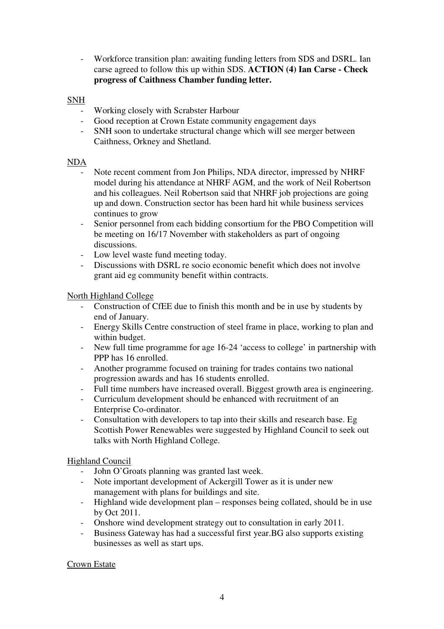- Workforce transition plan: awaiting funding letters from SDS and DSRL. Ian carse agreed to follow this up within SDS. **ACTION (4) Ian Carse - Check progress of Caithness Chamber funding letter.** 

#### **SNH**

- Working closely with Scrabster Harbour
- Good reception at Crown Estate community engagement days
- SNH soon to undertake structural change which will see merger between Caithness, Orkney and Shetland.

#### NDA

- Note recent comment from Jon Philips, NDA director, impressed by NHRF model during his attendance at NHRF AGM, and the work of Neil Robertson and his colleagues. Neil Robertson said that NHRF job projections are going up and down. Construction sector has been hard hit while business services continues to grow
- Senior personnel from each bidding consortium for the PBO Competition will be meeting on 16/17 November with stakeholders as part of ongoing discussions.
- Low level waste fund meeting today.
- Discussions with DSRL re socio economic benefit which does not involve grant aid eg community benefit within contracts.

#### North Highland College

- Construction of CfEE due to finish this month and be in use by students by end of January.
- Energy Skills Centre construction of steel frame in place, working to plan and within budget.
- New full time programme for age 16-24 'access to college' in partnership with PPP has 16 enrolled.
- Another programme focused on training for trades contains two national progression awards and has 16 students enrolled.
- Full time numbers have increased overall. Biggest growth area is engineering.
- Curriculum development should be enhanced with recruitment of an Enterprise Co-ordinator.
- Consultation with developers to tap into their skills and research base. Eg Scottish Power Renewables were suggested by Highland Council to seek out talks with North Highland College.

### Highland Council

- John O'Groats planning was granted last week.
- Note important development of Ackergill Tower as it is under new management with plans for buildings and site.
- Highland wide development plan responses being collated, should be in use by Oct 2011.
- Onshore wind development strategy out to consultation in early 2011.
- Business Gateway has had a successful first year.BG also supports existing businesses as well as start ups.

#### Crown Estate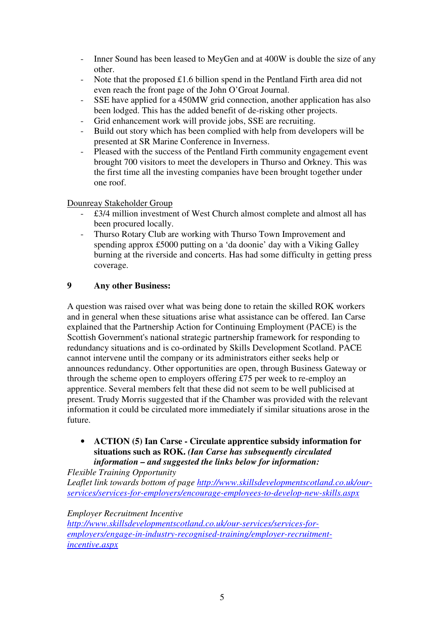- Inner Sound has been leased to MeyGen and at 400W is double the size of any other.
- Note that the proposed  $\pounds$ 1.6 billion spend in the Pentland Firth area did not even reach the front page of the John O'Groat Journal.
- SSE have applied for a 450MW grid connection, another application has also been lodged. This has the added benefit of de-risking other projects.
- Grid enhancement work will provide jobs, SSE are recruiting.
- Build out story which has been complied with help from developers will be presented at SR Marine Conference in Inverness.
- Pleased with the success of the Pentland Firth community engagement event brought 700 visitors to meet the developers in Thurso and Orkney. This was the first time all the investing companies have been brought together under one roof.

Dounreay Stakeholder Group

- £3/4 million investment of West Church almost complete and almost all has been procured locally.
- Thurso Rotary Club are working with Thurso Town Improvement and spending approx £5000 putting on a 'da doonie' day with a Viking Galley burning at the riverside and concerts. Has had some difficulty in getting press coverage.

# **9 Any other Business:**

A question was raised over what was being done to retain the skilled ROK workers and in general when these situations arise what assistance can be offered. Ian Carse explained that the Partnership Action for Continuing Employment (PACE) is the Scottish Government's national strategic partnership framework for responding to redundancy situations and is co-ordinated by Skills Development Scotland. PACE cannot intervene until the company or its administrators either seeks help or announces redundancy. Other opportunities are open, through Business Gateway or through the scheme open to employers offering £75 per week to re-employ an apprentice. Several members felt that these did not seem to be well publicised at present. Trudy Morris suggested that if the Chamber was provided with the relevant information it could be circulated more immediately if similar situations arose in the future.

• **ACTION (5) Ian Carse - Circulate apprentice subsidy information for situations such as ROK.** *(Ian Carse has subsequently circulated information – and suggested the links below for information:* 

*Flexible Training Opportunity* 

*Leaflet link towards bottom of page http://www.skillsdevelopmentscotland.co.uk/ourservices/services-for-employers/encourage-employees-to-develop-new-skills.aspx*

*Employer Recruitment Incentive* 

*http://www.skillsdevelopmentscotland.co.uk/our-services/services-foremployers/engage-in-industry-recognised-training/employer-recruitmentincentive.aspx*